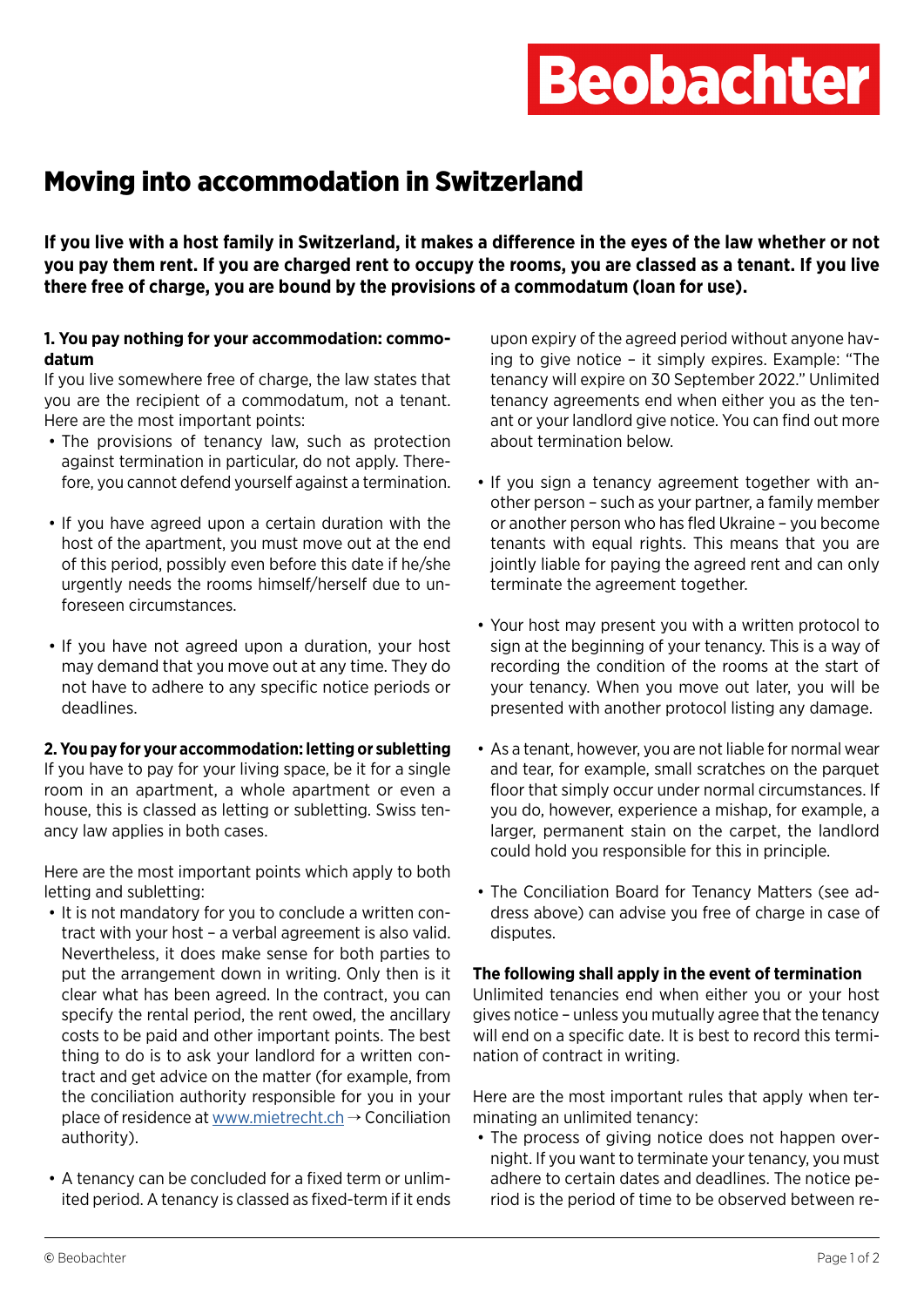# **Beobachter**

## Moving into accommodation in Switzerland

**If you live with a host family in Switzerland, it makes a difference in the eyes of the law whether or not you pay them rent. If you are charged rent to occupy the rooms, you are classed as a tenant. If you live there free of charge, you are bound by the provisions of a commodatum (loan for use).** 

#### **1. You pay nothing for your accommodation: commodatum**

If you live somewhere free of charge, the law states that you are the recipient of a commodatum, not a tenant. Here are the most important points:

- The provisions of tenancy law, such as protection against termination in particular, do not apply. Therefore, you cannot defend yourself against a termination.
- If you have agreed upon a certain duration with the host of the apartment, you must move out at the end of this period, possibly even before this date if he/she urgently needs the rooms himself/herself due to unforeseen circumstances.
- If you have not agreed upon a duration, your host may demand that you move out at any time. They do not have to adhere to any specific notice periods or deadlines.

#### **2. You pay for your accommodation: letting or subletting**

If you have to pay for your living space, be it for a single room in an apartment, a whole apartment or even a house, this is classed as letting or subletting. Swiss tenancy law applies in both cases.

Here are the most important points which apply to both letting and subletting:

- It is not mandatory for you to conclude a written contract with your host – a verbal agreement is also valid. Nevertheless, it does make sense for both parties to put the arrangement down in writing. Only then is it clear what has been agreed. In the contract, you can specify the rental period, the rent owed, the ancillary costs to be paid and other important points. The best thing to do is to ask your landlord for a written contract and get advice on the matter (for example, from the conciliation authority responsible for you in your place of residence at [www.mietrecht.ch](https://www.mietrecht.ch/index.php?id=71) → Conciliation authority).
- A tenancy can be concluded for a fixed term or unlimited period. A tenancy is classed as fixed-term if it ends

upon expiry of the agreed period without anyone having to give notice – it simply expires. Example: "The tenancy will expire on 30 September 2022." Unlimited tenancy agreements end when either you as the tenant or your landlord give notice. You can find out more about termination below.

- If you sign a tenancy agreement together with another person – such as your partner, a family member or another person who has fled Ukraine – you become tenants with equal rights. This means that you are jointly liable for paying the agreed rent and can only terminate the agreement together.
- Your host may present you with a written protocol to sign at the beginning of your tenancy. This is a way of recording the condition of the rooms at the start of your tenancy. When you move out later, you will be presented with another protocol listing any damage.
- As a tenant, however, you are not liable for normal wear and tear, for example, small scratches on the parquet floor that simply occur under normal circumstances. If you do, however, experience a mishap, for example, a larger, permanent stain on the carpet, the landlord could hold you responsible for this in principle.
- The Conciliation Board for Tenancy Matters (see address above) can advise you free of charge in case of disputes.

#### **The following shall apply in the event of termination**

Unlimited tenancies end when either you or your host gives notice – unless you mutually agree that the tenancy will end on a specific date. It is best to record this termination of contract in writing.

Here are the most important rules that apply when terminating an unlimited tenancy:

• The process of giving notice does not happen overnight. If you want to terminate your tenancy, you must adhere to certain dates and deadlines. The notice period is the period of time to be observed between re